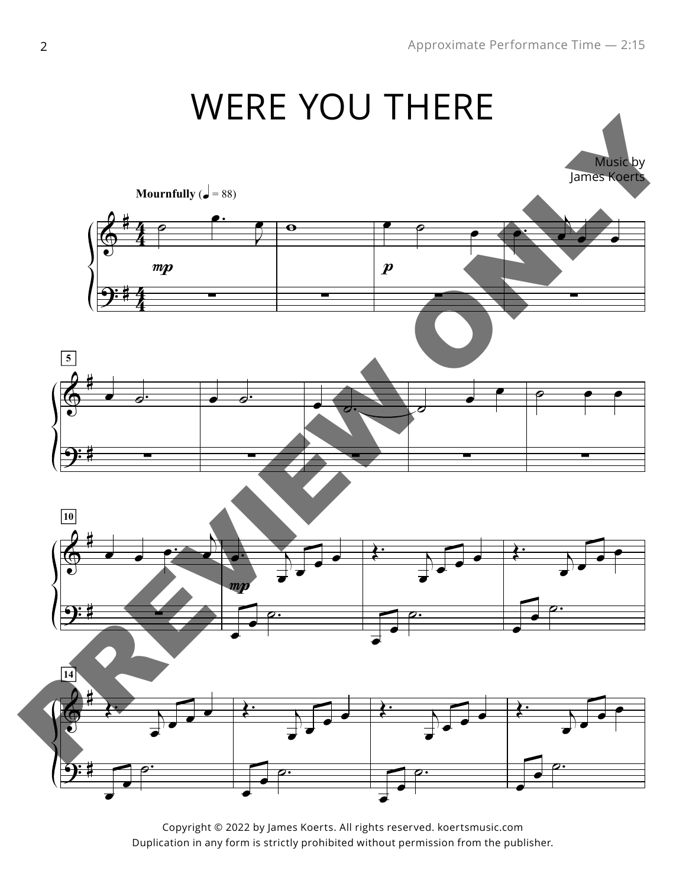

Copyright © 2022 by James Koerts. All rights reserved. koertsmusic.com Duplication in any form is strictly prohibited without permission from the publisher.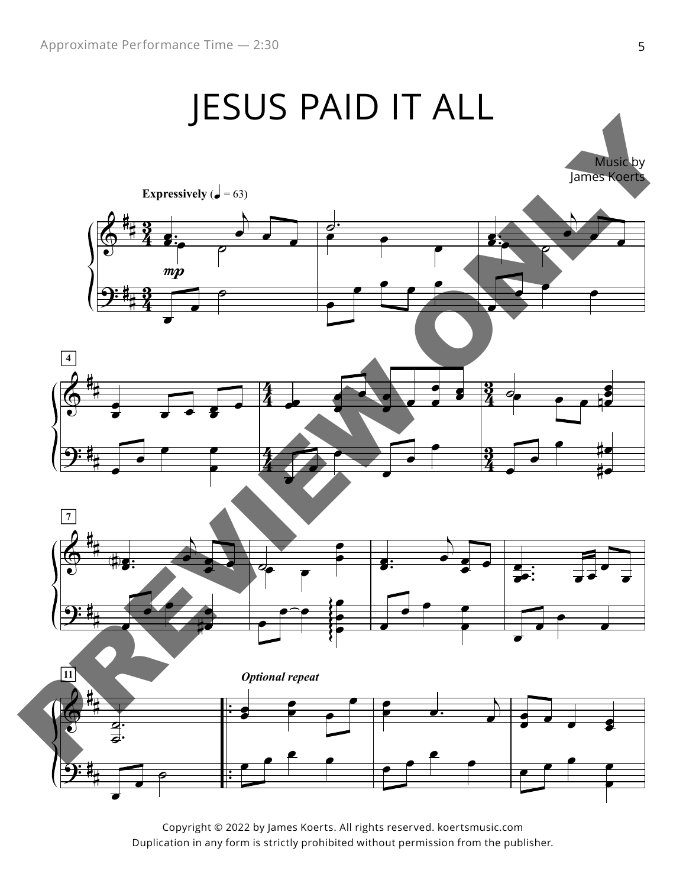## JESUS PAID IT ALL



Copyright © 2022 by James Koerts. All rights reserved. koertsmusic.com Duplication in any form is strictly prohibited without permission from the publisher. Words by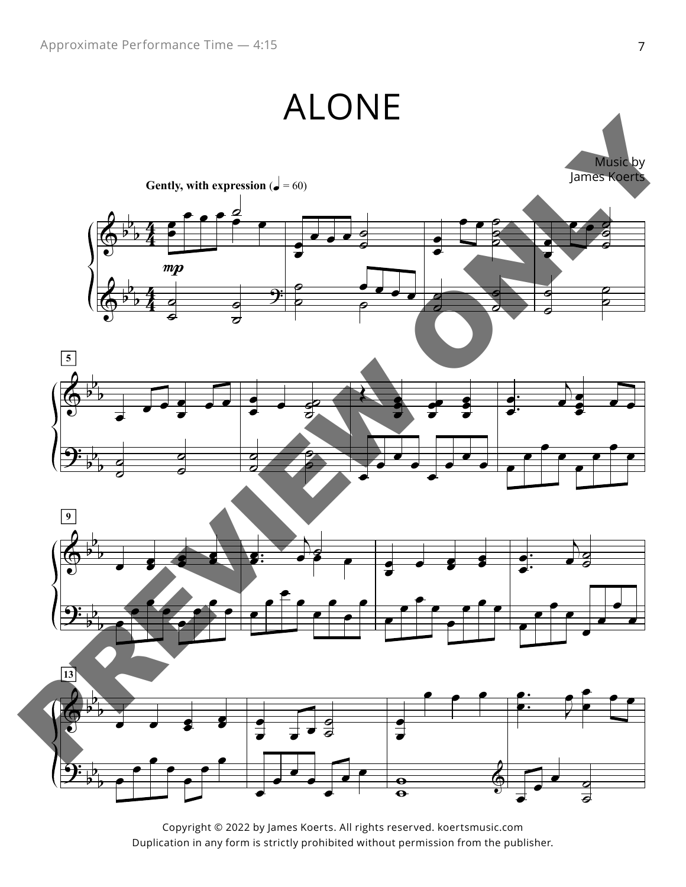

Copyright © 2022 by James Koerts. All rights reserved. koertsmusic.com Duplication in any form is strictly prohibited without permission from the publisher.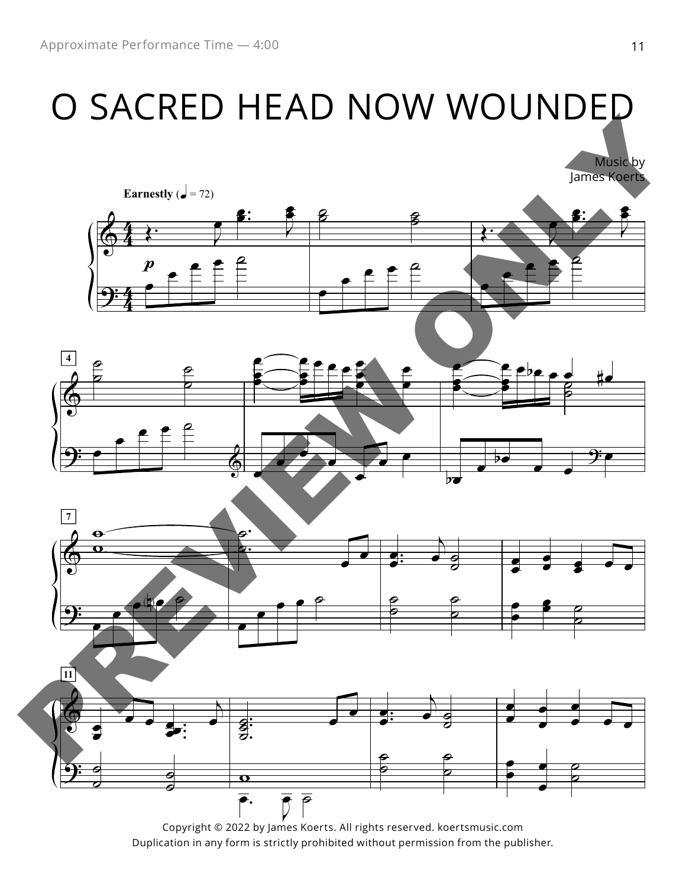## O SACRED HEAD NOW WOUNDED



Duplication in any form is strictly prohibited without permission from the publisher.

 $\blacksquare$